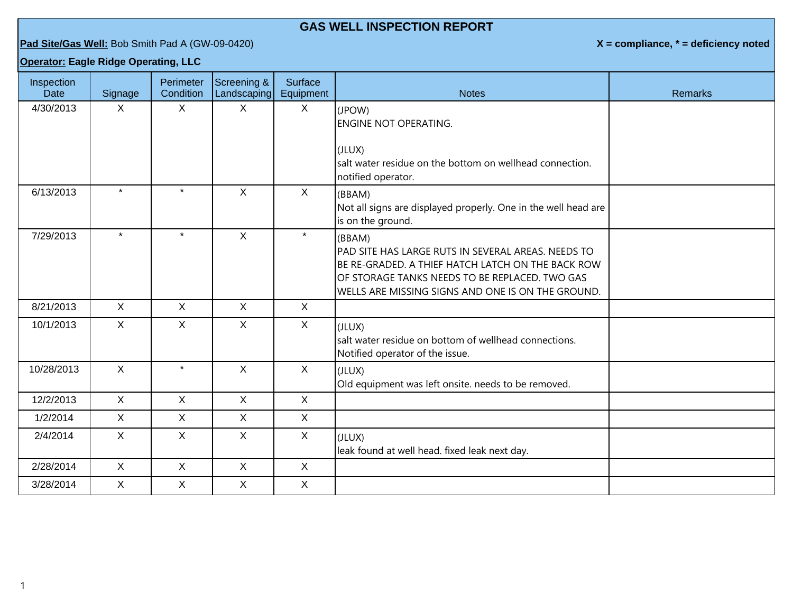## **GAS WELL INSPECTION REPORT**

**Pad Site/Gas Well:** Bob Smith Pad A (GW-09-0420) **X = compliance, \* = deficiency noted**

**Operator: Eagle Ridge Operating, LLC**

| Inspection<br><b>Date</b> | Signage      | Perimeter<br>Condition | Screening &<br>Landscaping | Surface<br>Equipment | <b>Notes</b>                                                                                                                                                                                                             | <b>Remarks</b> |
|---------------------------|--------------|------------------------|----------------------------|----------------------|--------------------------------------------------------------------------------------------------------------------------------------------------------------------------------------------------------------------------|----------------|
| 4/30/2013                 | $\mathsf{X}$ | $\mathsf{X}$           | X                          | X                    | (JPOW)<br><b>ENGINE NOT OPERATING.</b><br>(JLUX)<br>salt water residue on the bottom on wellhead connection.<br>notified operator.                                                                                       |                |
| 6/13/2013                 | $\star$      | $\star$                | $\mathsf{X}$               | X                    | (BBAM)<br>Not all signs are displayed properly. One in the well head are<br>is on the ground.                                                                                                                            |                |
| 7/29/2013                 | $\star$      | $\star$                | $\mathsf{X}$               | $\star$              | (BBAM)<br>PAD SITE HAS LARGE RUTS IN SEVERAL AREAS. NEEDS TO<br>BE RE-GRADED. A THIEF HATCH LATCH ON THE BACK ROW<br>OF STORAGE TANKS NEEDS TO BE REPLACED. TWO GAS<br>WELLS ARE MISSING SIGNS AND ONE IS ON THE GROUND. |                |
| 8/21/2013                 | $\mathsf{X}$ | $\mathsf{X}$           | $\mathsf{X}$               | X                    |                                                                                                                                                                                                                          |                |
| 10/1/2013                 | $\mathsf{X}$ | X                      | $\mathsf{X}$               | X                    | (JLUX)<br>salt water residue on bottom of wellhead connections.<br>Notified operator of the issue.                                                                                                                       |                |
| 10/28/2013                | $\mathsf{X}$ | $\star$                | X                          | $\mathsf{X}$         | (JLUX)<br>Old equipment was left onsite. needs to be removed.                                                                                                                                                            |                |
| 12/2/2013                 | $\mathsf{X}$ | $\mathsf{X}$           | $\mathsf{X}$               | $\mathsf{X}$         |                                                                                                                                                                                                                          |                |
| 1/2/2014                  | $\mathsf{X}$ | $\mathsf{X}$           | $\mathsf{X}$               | $\mathsf{X}$         |                                                                                                                                                                                                                          |                |
| 2/4/2014                  | $\mathsf{X}$ | X                      | $\mathsf{X}$               | X                    | (JLUX)<br>leak found at well head. fixed leak next day.                                                                                                                                                                  |                |
| 2/28/2014                 | $\mathsf{X}$ | $\mathsf{X}$           | $\mathsf{X}$               | X                    |                                                                                                                                                                                                                          |                |
| 3/28/2014                 | $\sf X$      | $\mathsf{X}$           | X                          | $\mathsf{X}$         |                                                                                                                                                                                                                          |                |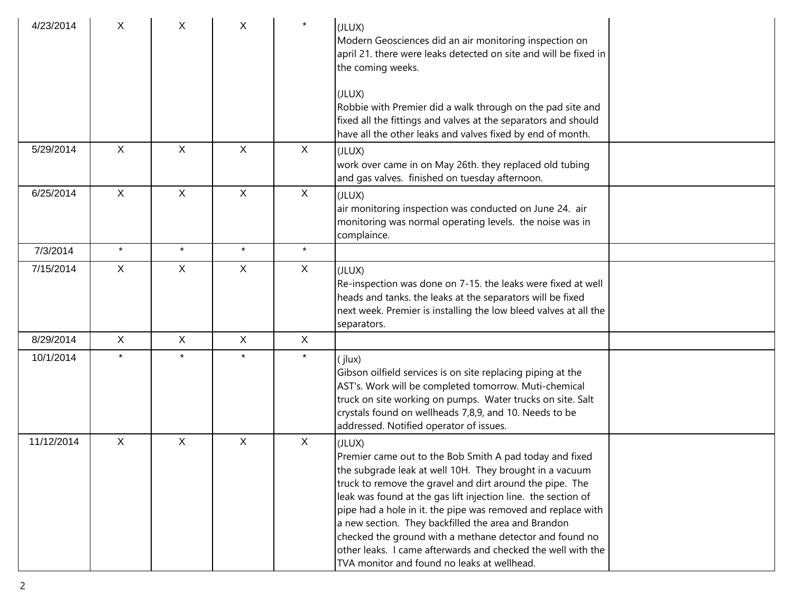| 4/23/2014  | X            | X            | X            | $\star$      | (JLUX)<br>Modern Geosciences did an air monitoring inspection on<br>april 21. there were leaks detected on site and will be fixed in<br>the coming weeks.<br>(JLUX)<br>Robbie with Premier did a walk through on the pad site and                                                                                                                                                                                                                                                                                                                          |  |
|------------|--------------|--------------|--------------|--------------|------------------------------------------------------------------------------------------------------------------------------------------------------------------------------------------------------------------------------------------------------------------------------------------------------------------------------------------------------------------------------------------------------------------------------------------------------------------------------------------------------------------------------------------------------------|--|
|            |              |              |              |              | fixed all the fittings and valves at the separators and should<br>have all the other leaks and valves fixed by end of month.                                                                                                                                                                                                                                                                                                                                                                                                                               |  |
| 5/29/2014  | X            | X            | $\sf X$      | X            | (JLUX)<br>work over came in on May 26th. they replaced old tubing<br>and gas valves. finished on tuesday afternoon.                                                                                                                                                                                                                                                                                                                                                                                                                                        |  |
| 6/25/2014  | $\mathsf{X}$ | $\mathsf{X}$ | $\mathsf{X}$ | X            | (JLUX)<br>air monitoring inspection was conducted on June 24. air<br>monitoring was normal operating levels. the noise was in<br>complaince.                                                                                                                                                                                                                                                                                                                                                                                                               |  |
| 7/3/2014   | $\star$      | $\star$      | $\star$      | $\star$      |                                                                                                                                                                                                                                                                                                                                                                                                                                                                                                                                                            |  |
| 7/15/2014  | $\mathsf{X}$ | $\sf X$      | X            | X            | (JLUX)<br>Re-inspection was done on 7-15. the leaks were fixed at well<br>heads and tanks. the leaks at the separators will be fixed<br>next week. Premier is installing the low bleed valves at all the<br>separators.                                                                                                                                                                                                                                                                                                                                    |  |
| 8/29/2014  | $\mathsf{X}$ | $\mathsf{X}$ | $\mathsf{X}$ | $\mathsf{X}$ |                                                                                                                                                                                                                                                                                                                                                                                                                                                                                                                                                            |  |
| 10/1/2014  |              | $\star$      | $\star$      | $\star$      | (jlux)<br>Gibson oilfield services is on site replacing piping at the<br>AST's. Work will be completed tomorrow. Muti-chemical<br>truck on site working on pumps. Water trucks on site. Salt<br>crystals found on wellheads 7,8,9, and 10. Needs to be<br>addressed. Notified operator of issues.                                                                                                                                                                                                                                                          |  |
| 11/12/2014 | $\mathsf{X}$ | $\mathsf{X}$ | $\mathsf{X}$ | X            | (JLUX)<br>Premier came out to the Bob Smith A pad today and fixed<br>the subgrade leak at well 10H. They brought in a vacuum<br>truck to remove the gravel and dirt around the pipe. The<br>leak was found at the gas lift injection line. the section of<br>pipe had a hole in it. the pipe was removed and replace with<br>a new section. They backfilled the area and Brandon<br>checked the ground with a methane detector and found no<br>other leaks. I came afterwards and checked the well with the<br>TVA monitor and found no leaks at wellhead. |  |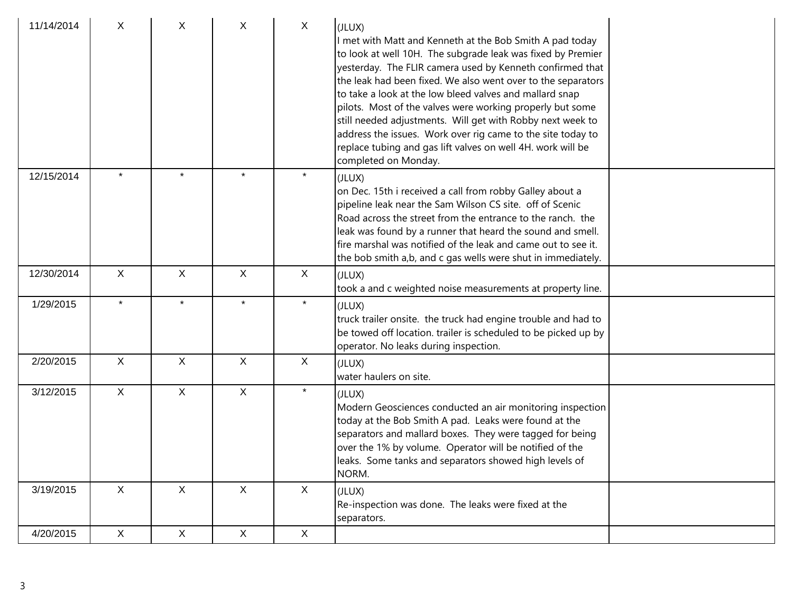| 11/14/2014 | X            | X            | Χ                         | X            | (JLUX)<br>I met with Matt and Kenneth at the Bob Smith A pad today<br>to look at well 10H. The subgrade leak was fixed by Premier<br>yesterday. The FLIR camera used by Kenneth confirmed that<br>the leak had been fixed. We also went over to the separators<br>to take a look at the low bleed valves and mallard snap<br>pilots. Most of the valves were working properly but some<br>still needed adjustments. Will get with Robby next week to<br>address the issues. Work over rig came to the site today to<br>replace tubing and gas lift valves on well 4H. work will be<br>completed on Monday. |  |
|------------|--------------|--------------|---------------------------|--------------|------------------------------------------------------------------------------------------------------------------------------------------------------------------------------------------------------------------------------------------------------------------------------------------------------------------------------------------------------------------------------------------------------------------------------------------------------------------------------------------------------------------------------------------------------------------------------------------------------------|--|
| 12/15/2014 |              | $\star$      |                           | $\star$      | (JLUX)<br>on Dec. 15th i received a call from robby Galley about a<br>pipeline leak near the Sam Wilson CS site. off of Scenic<br>Road across the street from the entrance to the ranch. the<br>leak was found by a runner that heard the sound and smell.<br>fire marshal was notified of the leak and came out to see it.<br>the bob smith a,b, and c gas wells were shut in immediately.                                                                                                                                                                                                                |  |
| 12/30/2014 | $\mathsf{X}$ | $\mathsf{X}$ | $\boldsymbol{\mathsf{X}}$ | $\mathsf{X}$ | (JLUX)<br>took a and c weighted noise measurements at property line.                                                                                                                                                                                                                                                                                                                                                                                                                                                                                                                                       |  |
| 1/29/2015  | $\star$      | $\star$      | $\star$                   | $\star$      | (JLUX)<br>truck trailer onsite. the truck had engine trouble and had to<br>be towed off location. trailer is scheduled to be picked up by<br>operator. No leaks during inspection.                                                                                                                                                                                                                                                                                                                                                                                                                         |  |
| 2/20/2015  | $\mathsf{X}$ | $\mathsf{X}$ | $\mathsf{X}$              | X            | (JLUX)<br>water haulers on site.                                                                                                                                                                                                                                                                                                                                                                                                                                                                                                                                                                           |  |
| 3/12/2015  | $\mathsf{X}$ | $\mathsf{X}$ | $\mathsf{X}$              | $\star$      | (JLUX)<br>Modern Geosciences conducted an air monitoring inspection<br>today at the Bob Smith A pad. Leaks were found at the<br>separators and mallard boxes. They were tagged for being<br>over the 1% by volume. Operator will be notified of the<br>leaks. Some tanks and separators showed high levels of<br>NORM.                                                                                                                                                                                                                                                                                     |  |
| 3/19/2015  | $\mathsf{X}$ | X            | $\mathsf{X}$              | X            | (JLUX)<br>Re-inspection was done. The leaks were fixed at the<br>separators.                                                                                                                                                                                                                                                                                                                                                                                                                                                                                                                               |  |
| 4/20/2015  | $\mathsf X$  | $\mathsf X$  | $\mathsf X$               | $\mathsf X$  |                                                                                                                                                                                                                                                                                                                                                                                                                                                                                                                                                                                                            |  |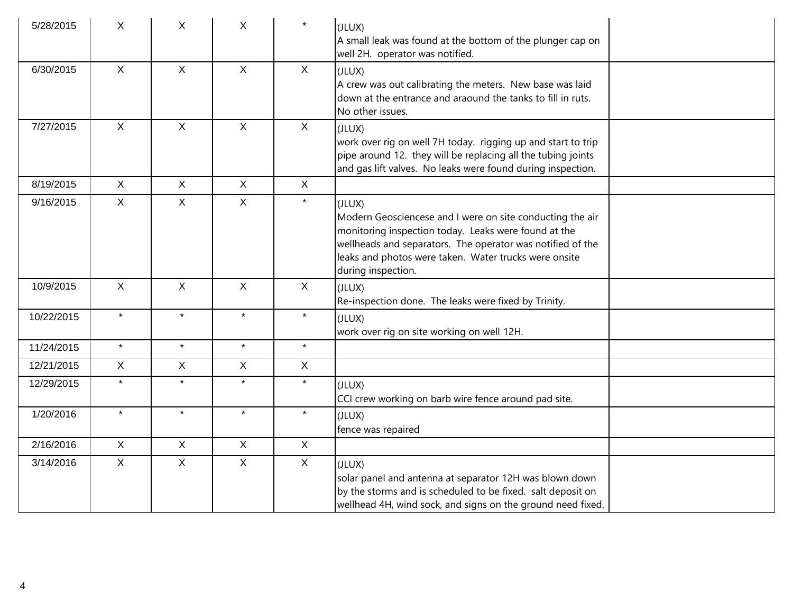| 5/28/2015  | X            | X.           | $\mathsf{X}$ | $\star$      | (JLUX)<br>A small leak was found at the bottom of the plunger cap on<br>well 2H. operator was notified.                                                                                                                                                                  |
|------------|--------------|--------------|--------------|--------------|--------------------------------------------------------------------------------------------------------------------------------------------------------------------------------------------------------------------------------------------------------------------------|
| 6/30/2015  | $\mathsf{X}$ | X            | $\mathsf{X}$ | $\mathsf{X}$ | (JLUX)<br>A crew was out calibrating the meters. New base was laid<br>down at the entrance and araound the tanks to fill in ruts.<br>No other issues.                                                                                                                    |
| 7/27/2015  | $\mathsf{X}$ | $\mathsf{X}$ | $\mathsf{X}$ | $\mathsf{X}$ | (JLUX)<br>work over rig on well 7H today. rigging up and start to trip<br>pipe around 12. they will be replacing all the tubing joints<br>and gas lift valves. No leaks were found during inspection.                                                                    |
| 8/19/2015  | $\mathsf{X}$ | $\mathsf{X}$ | $\mathsf{X}$ | $\mathsf{X}$ |                                                                                                                                                                                                                                                                          |
| 9/16/2015  | $\mathsf{X}$ | $\mathsf{X}$ | $\mathsf{X}$ | $\star$      | (JLUX)<br>Modern Geosciencese and I were on site conducting the air<br>monitoring inspection today. Leaks were found at the<br>wellheads and separators. The operator was notified of the<br>leaks and photos were taken. Water trucks were onsite<br>during inspection. |
| 10/9/2015  | $\mathsf{X}$ | $\mathsf{X}$ | $\mathsf{X}$ | $\mathsf{X}$ | (JLUX)<br>Re-inspection done. The leaks were fixed by Trinity.                                                                                                                                                                                                           |
| 10/22/2015 | $\star$      | $\star$      | $\star$      | $\star$      | (JLUX)<br>work over rig on site working on well 12H.                                                                                                                                                                                                                     |
| 11/24/2015 | $\star$      | $\star$      | $\star$      | $\star$      |                                                                                                                                                                                                                                                                          |
| 12/21/2015 | $\mathsf{X}$ | $\mathsf{X}$ | $\mathsf{X}$ | $\mathsf{X}$ |                                                                                                                                                                                                                                                                          |
| 12/29/2015 | $\star$      | $\star$      | $\star$      | $\star$      | (JLUX)<br>CCI crew working on barb wire fence around pad site.                                                                                                                                                                                                           |
| 1/20/2016  | $\star$      | $\star$      | $\star$      | $\star$      | (JLUX)<br>fence was repaired                                                                                                                                                                                                                                             |
| 2/16/2016  | $\mathsf{X}$ | $\mathsf{X}$ | $\mathsf{X}$ | $\mathsf{X}$ |                                                                                                                                                                                                                                                                          |
| 3/14/2016  | $\mathsf{X}$ | $\mathsf{X}$ | $\mathsf{X}$ | $\mathsf{X}$ | (JLUX)<br>solar panel and antenna at separator 12H was blown down<br>by the storms and is scheduled to be fixed. salt deposit on<br>wellhead 4H, wind sock, and signs on the ground need fixed.                                                                          |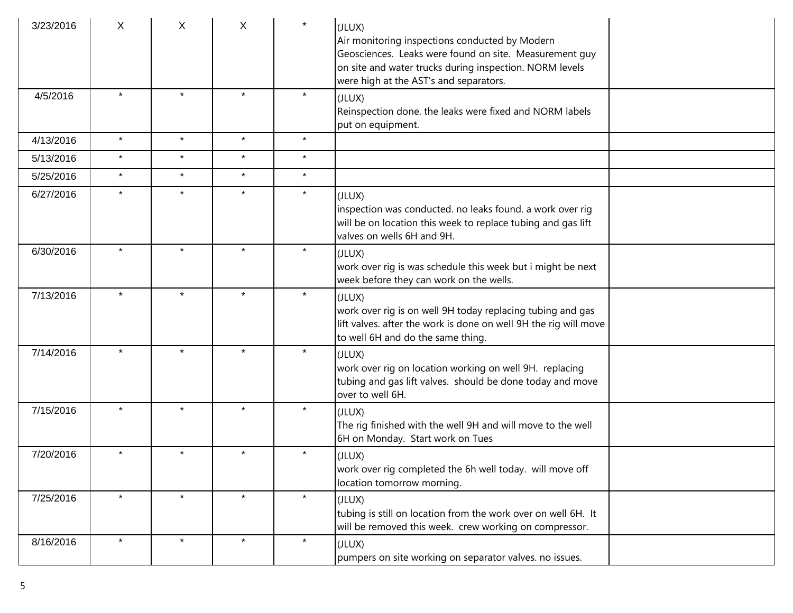| 3/23/2016 | X       | X       | X       | $\star$ | (JLUX)<br>Air monitoring inspections conducted by Modern<br>Geosciences. Leaks were found on site. Measurement guy<br>on site and water trucks during inspection. NORM levels<br>were high at the AST's and separators. |  |
|-----------|---------|---------|---------|---------|-------------------------------------------------------------------------------------------------------------------------------------------------------------------------------------------------------------------------|--|
| 4/5/2016  |         | $\star$ | $\star$ | $\star$ | (JLUX)<br>Reinspection done. the leaks were fixed and NORM labels<br>put on equipment.                                                                                                                                  |  |
| 4/13/2016 | $\star$ | $\star$ | $\star$ | $\star$ |                                                                                                                                                                                                                         |  |
| 5/13/2016 | $\star$ | $\star$ | $\star$ | $\star$ |                                                                                                                                                                                                                         |  |
| 5/25/2016 | $\star$ | $\star$ | $\star$ | $\star$ |                                                                                                                                                                                                                         |  |
| 6/27/2016 | $\star$ | $\star$ | $\star$ | $\star$ | (JLUX)<br>inspection was conducted. no leaks found. a work over rig<br>will be on location this week to replace tubing and gas lift<br>valves on wells 6H and 9H.                                                       |  |
| 6/30/2016 | $\star$ | $\star$ | $\star$ | $\star$ | (JLUX)<br>work over rig is was schedule this week but i might be next<br>week before they can work on the wells.                                                                                                        |  |
| 7/13/2016 | $\star$ | $\star$ | $\star$ | $\star$ | (JLUX)<br>work over rig is on well 9H today replacing tubing and gas<br>lift valves. after the work is done on well 9H the rig will move<br>to well 6H and do the same thing.                                           |  |
| 7/14/2016 | $\star$ | $\star$ | $\star$ | $\star$ | (JLUX)<br>work over rig on location working on well 9H. replacing<br>tubing and gas lift valves. should be done today and move<br>over to well 6H.                                                                      |  |
| 7/15/2016 | $\star$ | $\star$ | $\star$ | $\star$ | (JLUX)<br>The rig finished with the well 9H and will move to the well<br>6H on Monday. Start work on Tues                                                                                                               |  |
| 7/20/2016 | $\star$ | $\star$ | $\star$ | $\star$ | (JLUX)<br>work over rig completed the 6h well today. will move off<br>location tomorrow morning.                                                                                                                        |  |
| 7/25/2016 |         | $\star$ | $\star$ | $\star$ | (JLUX)<br>tubing is still on location from the work over on well 6H. It<br>will be removed this week. crew working on compressor.                                                                                       |  |
| 8/16/2016 | $\star$ | $\star$ | $\star$ | $\star$ | (JLUX)<br>pumpers on site working on separator valves. no issues.                                                                                                                                                       |  |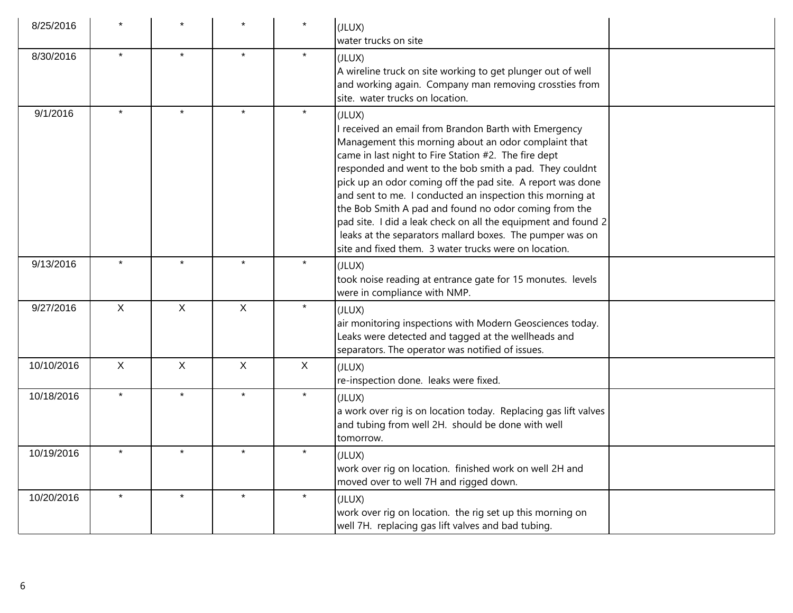| 8/25/2016  |              |             |              | $\star$ | (JLUX)<br>water trucks on site                                                                                                                                                                                                                                                                                                                                                                                                                                                                                                                                                                                       |
|------------|--------------|-------------|--------------|---------|----------------------------------------------------------------------------------------------------------------------------------------------------------------------------------------------------------------------------------------------------------------------------------------------------------------------------------------------------------------------------------------------------------------------------------------------------------------------------------------------------------------------------------------------------------------------------------------------------------------------|
| 8/30/2016  | $\star$      | $\star$     | $\star$      | $\star$ | (JLUX)<br>A wireline truck on site working to get plunger out of well<br>and working again. Company man removing crossties from<br>site. water trucks on location.                                                                                                                                                                                                                                                                                                                                                                                                                                                   |
| 9/1/2016   | $\star$      | $\star$     | $\star$      | $\star$ | (JLUX)<br>I received an email from Brandon Barth with Emergency<br>Management this morning about an odor complaint that<br>came in last night to Fire Station #2. The fire dept<br>responded and went to the bob smith a pad. They couldnt<br>pick up an odor coming off the pad site. A report was done<br>and sent to me. I conducted an inspection this morning at<br>the Bob Smith A pad and found no odor coming from the<br>pad site. I did a leak check on all the equipment and found 2<br>leaks at the separators mallard boxes. The pumper was on<br>site and fixed them. 3 water trucks were on location. |
| 9/13/2016  |              |             | $\star$      | $\star$ | (JLUX)<br>took noise reading at entrance gate for 15 monutes. levels<br>were in compliance with NMP.                                                                                                                                                                                                                                                                                                                                                                                                                                                                                                                 |
| 9/27/2016  | $\mathsf X$  | $\mathsf X$ | X            | $\star$ | (JLUX)<br>air monitoring inspections with Modern Geosciences today.<br>Leaks were detected and tagged at the wellheads and<br>separators. The operator was notified of issues.                                                                                                                                                                                                                                                                                                                                                                                                                                       |
| 10/10/2016 | $\mathsf{X}$ | $\mathsf X$ | $\mathsf{X}$ | X       | (JLUX)<br>re-inspection done. leaks were fixed.                                                                                                                                                                                                                                                                                                                                                                                                                                                                                                                                                                      |
| 10/18/2016 | $\star$      | $\star$     | $\star$      | $\star$ | (JLUX)<br>a work over rig is on location today. Replacing gas lift valves<br>and tubing from well 2H. should be done with well<br>tomorrow.                                                                                                                                                                                                                                                                                                                                                                                                                                                                          |
| 10/19/2016 |              |             | $\star$      | $\star$ | (JLUX)<br>work over rig on location. finished work on well 2H and<br>moved over to well 7H and rigged down.                                                                                                                                                                                                                                                                                                                                                                                                                                                                                                          |
| 10/20/2016 |              | $\star$     | $\star$      | $\star$ | (JLUX)<br>work over rig on location. the rig set up this morning on<br>well 7H. replacing gas lift valves and bad tubing.                                                                                                                                                                                                                                                                                                                                                                                                                                                                                            |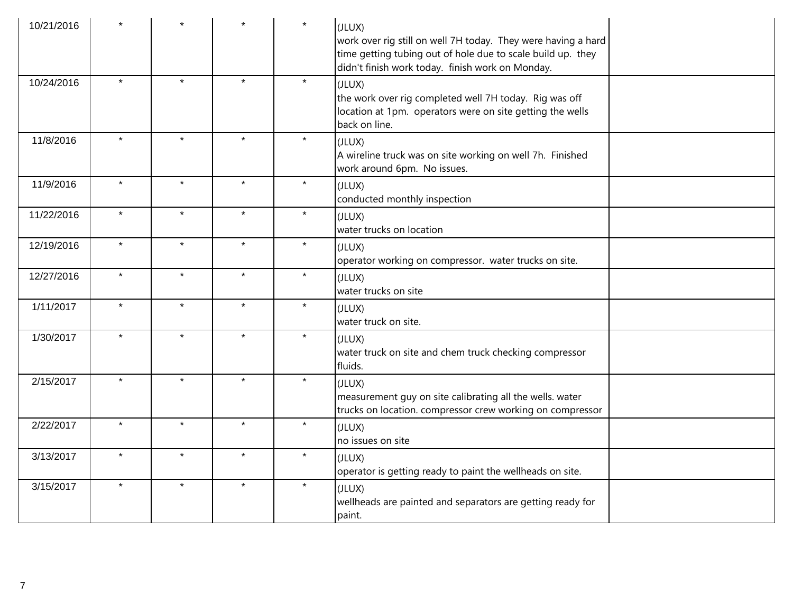| 10/21/2016 |         |         |         |         | (JLUX)<br>work over rig still on well 7H today. They were having a hard<br>time getting tubing out of hole due to scale build up. they<br>didn't finish work today. finish work on Monday. |  |
|------------|---------|---------|---------|---------|--------------------------------------------------------------------------------------------------------------------------------------------------------------------------------------------|--|
| 10/24/2016 | $\star$ | $\star$ | $\star$ | $\star$ | (JLUX)<br>the work over rig completed well 7H today. Rig was off<br>location at 1pm. operators were on site getting the wells<br>back on line.                                             |  |
| 11/8/2016  | $\star$ | $\star$ | $\star$ | $\star$ | (JLUX)<br>A wireline truck was on site working on well 7h. Finished<br>work around 6pm. No issues.                                                                                         |  |
| 11/9/2016  | $\star$ | $\star$ | $\star$ | $\star$ | (JLUX)<br>conducted monthly inspection                                                                                                                                                     |  |
| 11/22/2016 | $\star$ | $\star$ | $\star$ | $\star$ | (JLUX)<br>water trucks on location                                                                                                                                                         |  |
| 12/19/2016 | $\star$ | $\star$ | $\star$ | $\star$ | (JLUX)<br>operator working on compressor. water trucks on site.                                                                                                                            |  |
| 12/27/2016 | $\star$ | $\star$ | $\star$ | $\star$ | (JLUX)<br>water trucks on site                                                                                                                                                             |  |
| 1/11/2017  | $\star$ | $\star$ | $\star$ | $\star$ | (JLUX)<br>water truck on site.                                                                                                                                                             |  |
| 1/30/2017  | $\star$ | $\star$ | $\star$ | $\star$ | (JLUX)<br>water truck on site and chem truck checking compressor<br>Huids.                                                                                                                 |  |
| 2/15/2017  | $\star$ | $\star$ | $\star$ | $\star$ | (JLUX)<br>measurement guy on site calibrating all the wells. water<br>trucks on location. compressor crew working on compressor                                                            |  |
| 2/22/2017  | $\star$ | $\star$ | $\star$ | $\star$ | (JLUX)<br>$ $ no issues on site                                                                                                                                                            |  |
| 3/13/2017  | $\star$ | $\star$ | $\star$ | $\star$ | (JLUX)<br>operator is getting ready to paint the wellheads on site.                                                                                                                        |  |
| 3/15/2017  | $\star$ | $\star$ | $\star$ | $\star$ | (JLUX)<br>wellheads are painted and separators are getting ready for<br>paint.                                                                                                             |  |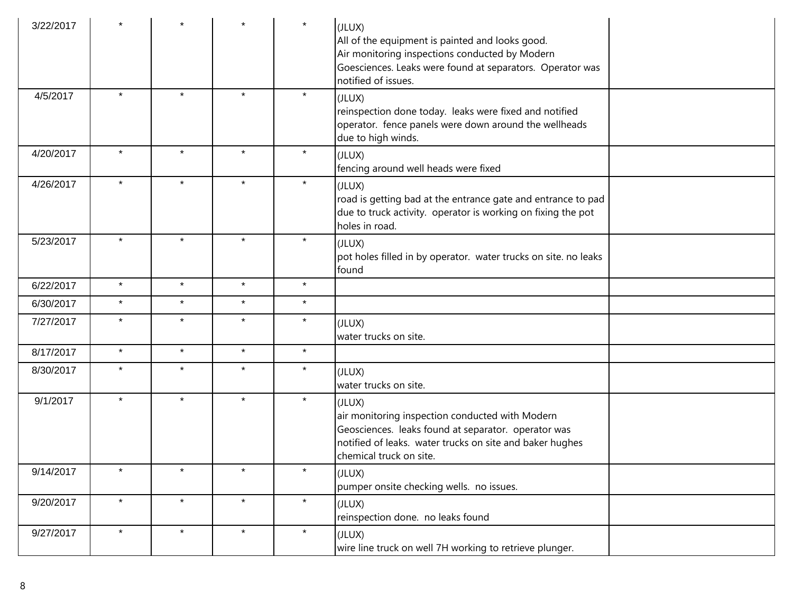| 3/22/2017 |         |         |         | $\star$ | (JLUX)<br>All of the equipment is painted and looks good.<br>Air monitoring inspections conducted by Modern<br>Goesciences. Leaks were found at separators. Operator was<br>notified of issues.         |  |
|-----------|---------|---------|---------|---------|---------------------------------------------------------------------------------------------------------------------------------------------------------------------------------------------------------|--|
| 4/5/2017  | $\star$ | $\star$ | $\star$ | $\star$ | (JLUX)<br>reinspection done today. leaks were fixed and notified<br>operator. fence panels were down around the wellheads<br>due to high winds.                                                         |  |
| 4/20/2017 | $\star$ | $\star$ | $\star$ | $\star$ | (JLUX)<br>fencing around well heads were fixed                                                                                                                                                          |  |
| 4/26/2017 | $\star$ | $\star$ | $\star$ | $\star$ | (JLUX)<br>road is getting bad at the entrance gate and entrance to pad<br>due to truck activity. operator is working on fixing the pot<br>holes in road.                                                |  |
| 5/23/2017 | $\star$ | $\star$ | $\star$ | $\star$ | (JLUX)<br>pot holes filled in by operator. water trucks on site. no leaks<br>found                                                                                                                      |  |
| 6/22/2017 | $\star$ | $\star$ | $\star$ | $\star$ |                                                                                                                                                                                                         |  |
| 6/30/2017 | $\star$ | $\star$ | $\star$ | $\star$ |                                                                                                                                                                                                         |  |
| 7/27/2017 | $\star$ | $\star$ | $\star$ | $\star$ | (JLUX)<br>water trucks on site.                                                                                                                                                                         |  |
| 8/17/2017 | $\star$ | $\star$ | $\star$ | $\star$ |                                                                                                                                                                                                         |  |
| 8/30/2017 | $\star$ | $\star$ | $\star$ | $\star$ | (JLUX)<br>water trucks on site.                                                                                                                                                                         |  |
| 9/1/2017  | $\star$ | $\star$ | $\star$ | $\star$ | (JLUX)<br>air monitoring inspection conducted with Modern<br>Geosciences. leaks found at separator. operator was<br>notified of leaks. water trucks on site and baker hughes<br>chemical truck on site. |  |
| 9/14/2017 | $\star$ | $\star$ | $\star$ | $\star$ | (JLUX)<br>pumper onsite checking wells. no issues.                                                                                                                                                      |  |
| 9/20/2017 | $\star$ | $\star$ | $\star$ | $\star$ | (JLUX)<br>reinspection done. no leaks found                                                                                                                                                             |  |
| 9/27/2017 | $\star$ | $\star$ | $\star$ | $\star$ | (JLUX)<br>wire line truck on well 7H working to retrieve plunger.                                                                                                                                       |  |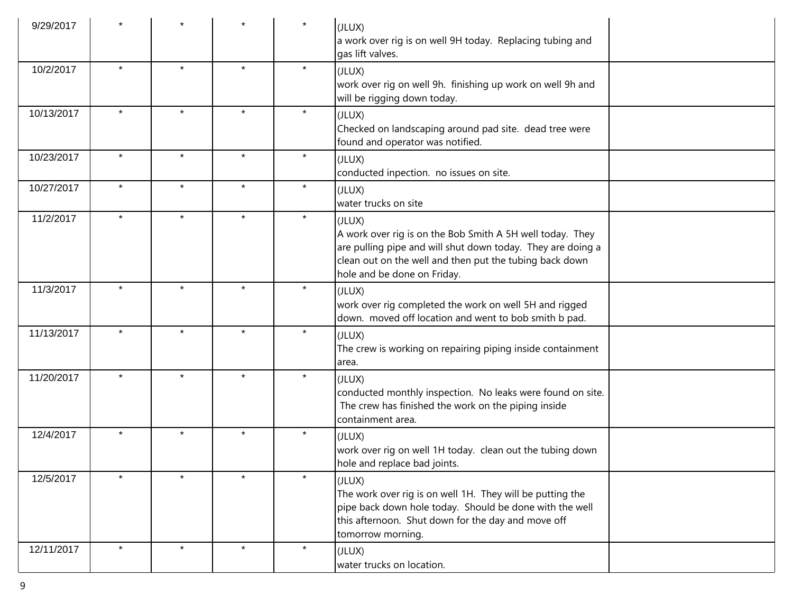| 9/29/2017  |         |         |         | $\star$ | (JLUX)<br>a work over rig is on well 9H today. Replacing tubing and<br>gas lift valves.                                                                                                                                      |  |
|------------|---------|---------|---------|---------|------------------------------------------------------------------------------------------------------------------------------------------------------------------------------------------------------------------------------|--|
| 10/2/2017  | $\star$ | $\star$ | $\star$ | $\star$ | (JLUX)<br>work over rig on well 9h. finishing up work on well 9h and<br>will be rigging down today.                                                                                                                          |  |
| 10/13/2017 | $\star$ | $\star$ | $\star$ | $\star$ | (JLUX)<br>Checked on landscaping around pad site. dead tree were<br>found and operator was notified.                                                                                                                         |  |
| 10/23/2017 | $\star$ | $\star$ | $\star$ | $\star$ | (JLUX)<br>conducted inpection. no issues on site.                                                                                                                                                                            |  |
| 10/27/2017 | $\star$ | $\star$ | $\star$ | $\star$ | (JLUX)<br>water trucks on site                                                                                                                                                                                               |  |
| 11/2/2017  | $\star$ | $\star$ | $\star$ | $\star$ | (JLUX)<br>A work over rig is on the Bob Smith A 5H well today. They<br>are pulling pipe and will shut down today. They are doing a<br>clean out on the well and then put the tubing back down<br>hole and be done on Friday. |  |
| 11/3/2017  |         | $\star$ | $\star$ | $\star$ | (JLUX)<br>work over rig completed the work on well 5H and rigged<br>down. moved off location and went to bob smith b pad.                                                                                                    |  |
| 11/13/2017 | $\star$ | $\star$ | $\star$ | $\star$ | (JLUX)<br>The crew is working on repairing piping inside containment<br>larea.                                                                                                                                               |  |
| 11/20/2017 | $\star$ | $\star$ | $\star$ | $\star$ | (JLUX)<br>conducted monthly inspection. No leaks were found on site.<br>The crew has finished the work on the piping inside<br>containment area.                                                                             |  |
| 12/4/2017  | $\star$ | $\star$ | $\star$ | $\star$ | (JLUX)<br>work over rig on well 1H today. clean out the tubing down<br>hole and replace bad joints.                                                                                                                          |  |
| 12/5/2017  | $\star$ | $\star$ | $\star$ | $\star$ | (JLUX)<br>The work over rig is on well 1H. They will be putting the<br>pipe back down hole today. Should be done with the well<br>this afternoon. Shut down for the day and move off<br>tomorrow morning.                    |  |
| 12/11/2017 | $\star$ | $\star$ | $\star$ | $\star$ | (JLUX)<br>water trucks on location.                                                                                                                                                                                          |  |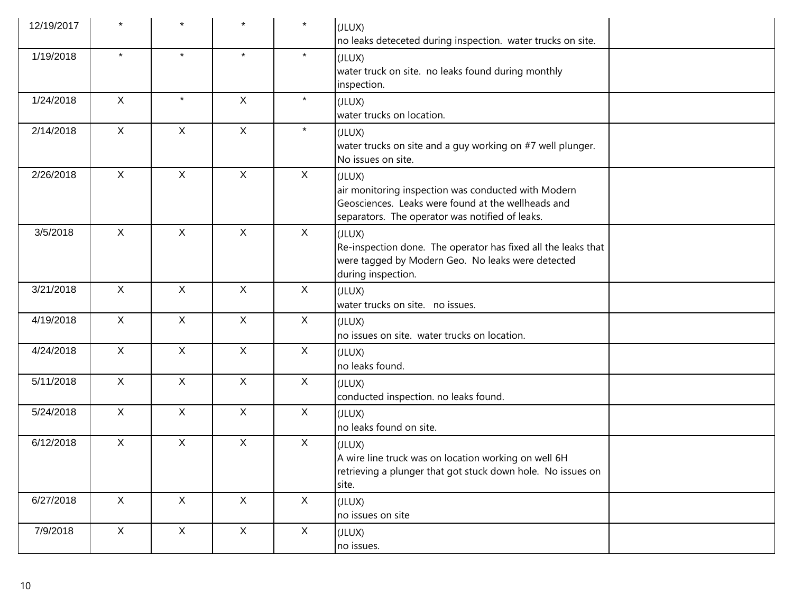| 12/19/2017 |              |              | $\star$      | $\star$      | (JLUX)<br>no leaks deteceted during inspection. water trucks on site.                                                                                                  |
|------------|--------------|--------------|--------------|--------------|------------------------------------------------------------------------------------------------------------------------------------------------------------------------|
| 1/19/2018  | $\star$      | $\star$      | $\star$      | $\star$      | (JLUX)<br>water truck on site. no leaks found during monthly<br>inspection.                                                                                            |
| 1/24/2018  | $\mathsf{X}$ | $\star$      | $\mathsf{X}$ | $\star$      | (JLUX)<br>water trucks on location.                                                                                                                                    |
| 2/14/2018  | $\mathsf{X}$ | $\mathsf{X}$ | $\mathsf{X}$ | $\star$      | (JLUX)<br>water trucks on site and a guy working on #7 well plunger.<br>No issues on site.                                                                             |
| 2/26/2018  | $\mathsf{X}$ | $\mathsf{X}$ | $\mathsf X$  | $\mathsf{X}$ | (JLUX)<br>air monitoring inspection was conducted with Modern<br>Geosciences. Leaks were found at the wellheads and<br>separators. The operator was notified of leaks. |
| 3/5/2018   | $\mathsf{X}$ | $\mathsf{X}$ | $\mathsf{X}$ | $\mathsf{X}$ | (JLUX)<br>Re-inspection done. The operator has fixed all the leaks that<br>were tagged by Modern Geo. No leaks were detected<br>during inspection.                     |
| 3/21/2018  | X            | $\mathsf{X}$ | $\mathsf{X}$ | $\mathsf{X}$ | (JLUX)<br>water trucks on site. no issues.                                                                                                                             |
| 4/19/2018  | $\mathsf{X}$ | $\mathsf{X}$ | $\mathsf{X}$ | $\mathsf{X}$ | (JLUX)<br>no issues on site. water trucks on location.                                                                                                                 |
| 4/24/2018  | $\mathsf{X}$ | $\mathsf{X}$ | $\mathsf{X}$ | $\mathsf{X}$ | (JLUX)<br>no leaks found.                                                                                                                                              |
| 5/11/2018  | $\mathsf{X}$ | $\mathsf{X}$ | $\mathsf{X}$ | $\mathsf{X}$ | (JLUX)<br>conducted inspection. no leaks found.                                                                                                                        |
| 5/24/2018  | $\mathsf{X}$ | $\mathsf{X}$ | $\mathsf{X}$ | $\mathsf{X}$ | (JLUX)<br>no leaks found on site.                                                                                                                                      |
| 6/12/2018  | $\mathsf{X}$ | $\mathsf{X}$ | $\mathsf X$  | $\mathsf{X}$ | (JLUX)<br>A wire line truck was on location working on well 6H<br>retrieving a plunger that got stuck down hole. No issues on<br>site.                                 |
| 6/27/2018  | X            | X            | $\mathsf{X}$ | X            | (JLUX)<br>no issues on site                                                                                                                                            |
| 7/9/2018   | X            | X            | X            | $\mathsf{X}$ | (JLUX)<br>no issues.                                                                                                                                                   |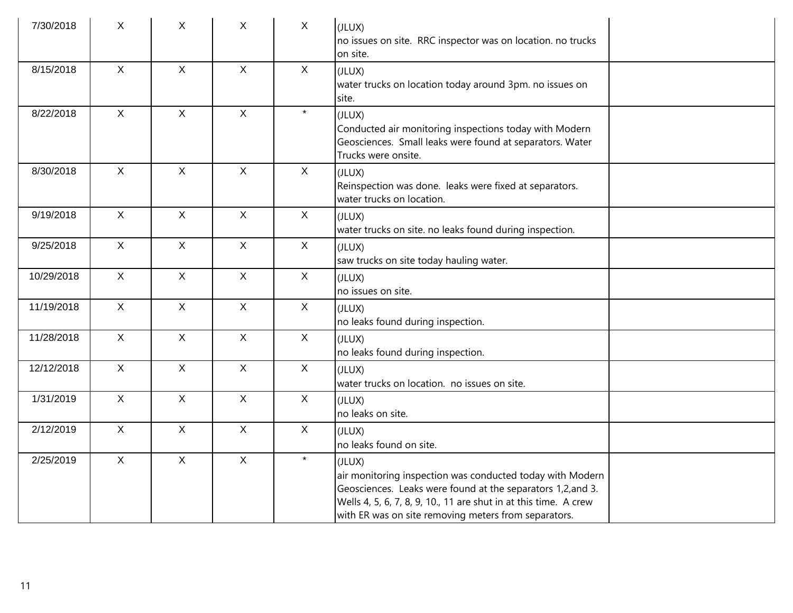| 7/30/2018  | X            | X            | X            | $\mathsf{X}$ | (JLUX)<br>no issues on site. RRC inspector was on location. no trucks<br>on site.                                                                                                                                                                              |  |
|------------|--------------|--------------|--------------|--------------|----------------------------------------------------------------------------------------------------------------------------------------------------------------------------------------------------------------------------------------------------------------|--|
| 8/15/2018  | $\mathsf{X}$ | $\mathsf{X}$ | $\mathsf{X}$ | $\mathsf{X}$ | (JLUX)<br>water trucks on location today around 3pm. no issues on<br>site.                                                                                                                                                                                     |  |
| 8/22/2018  | $\mathsf{X}$ | $\mathsf{X}$ | $\mathsf{X}$ | $\star$      | (JLUX)<br>Conducted air monitoring inspections today with Modern<br>Geosciences. Small leaks were found at separators. Water<br>Trucks were onsite.                                                                                                            |  |
| 8/30/2018  | $\mathsf{X}$ | $\mathsf{X}$ | $\mathsf{X}$ | $\mathsf{X}$ | (JLUX)<br>Reinspection was done. leaks were fixed at separators.<br>water trucks on location.                                                                                                                                                                  |  |
| 9/19/2018  | $\mathsf{X}$ | $\mathsf{X}$ | $\mathsf{X}$ | $\mathsf{X}$ | (JLUX)<br>water trucks on site. no leaks found during inspection.                                                                                                                                                                                              |  |
| 9/25/2018  | $\mathsf{X}$ | $\mathsf{X}$ | $\mathsf{X}$ | $\mathsf{X}$ | (JLUX)<br>saw trucks on site today hauling water.                                                                                                                                                                                                              |  |
| 10/29/2018 | $\mathsf{X}$ | $\mathsf{X}$ | $\mathsf{X}$ | X            | (JLUX)<br>no issues on site.                                                                                                                                                                                                                                   |  |
| 11/19/2018 | $\mathsf{X}$ | $\mathsf{X}$ | $\mathsf{X}$ | $\mathsf{X}$ | (JLUX)<br>no leaks found during inspection.                                                                                                                                                                                                                    |  |
| 11/28/2018 | $\mathsf{X}$ | $\mathsf{X}$ | $\mathsf{X}$ | X            | (JLUX)<br>no leaks found during inspection.                                                                                                                                                                                                                    |  |
| 12/12/2018 | $\mathsf{X}$ | $\mathsf{X}$ | $\mathsf{X}$ | $\mathsf{X}$ | (JLUX)<br>water trucks on location. no issues on site.                                                                                                                                                                                                         |  |
| 1/31/2019  | $\mathsf{X}$ | $\mathsf{X}$ | $\mathsf{X}$ | X            | (JLUX)<br>no leaks on site.                                                                                                                                                                                                                                    |  |
| 2/12/2019  | $\mathsf{X}$ | $\mathsf{X}$ | $\mathsf{X}$ | $\mathsf{X}$ | (JLUX)<br>no leaks found on site.                                                                                                                                                                                                                              |  |
| 2/25/2019  | $\mathsf{X}$ | $\mathsf{X}$ | $\mathsf{X}$ | $\star$      | (JLUX)<br>air monitoring inspection was conducted today with Modern<br>Geosciences. Leaks were found at the separators 1,2, and 3.<br>Wells 4, 5, 6, 7, 8, 9, 10., 11 are shut in at this time. A crew<br>with ER was on site removing meters from separators. |  |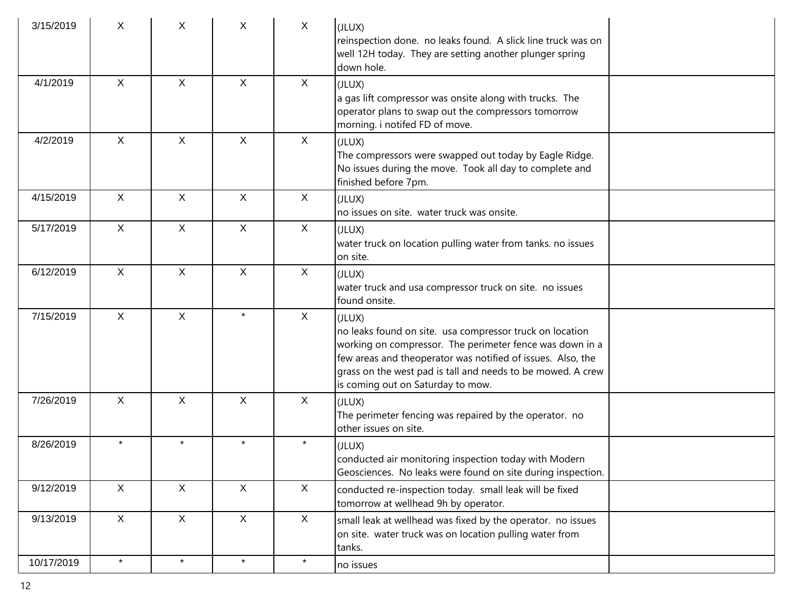| 3/15/2019  | X            | X            | X            | $\mathsf{X}$ | (JLUX)<br>reinspection done. no leaks found. A slick line truck was on<br>well 12H today. They are setting another plunger spring<br>down hole.                                                                                                                                                   |  |
|------------|--------------|--------------|--------------|--------------|---------------------------------------------------------------------------------------------------------------------------------------------------------------------------------------------------------------------------------------------------------------------------------------------------|--|
| 4/1/2019   | $\mathsf{X}$ | $\mathsf{X}$ | $\mathsf{X}$ | $\mathsf{X}$ | (JLUX)<br>a gas lift compressor was onsite along with trucks. The<br>operator plans to swap out the compressors tomorrow<br>morning. i notifed FD of move.                                                                                                                                        |  |
| 4/2/2019   | $\mathsf{X}$ | $\mathsf{X}$ | $\mathsf{X}$ | $\mathsf{X}$ | (JLUX)<br>The compressors were swapped out today by Eagle Ridge.<br>No issues during the move. Took all day to complete and<br>finished before 7pm.                                                                                                                                               |  |
| 4/15/2019  | $\mathsf{X}$ | $\mathsf{X}$ | $\mathsf{X}$ | $\mathsf{X}$ | (JLUX)<br>no issues on site. water truck was onsite.                                                                                                                                                                                                                                              |  |
| 5/17/2019  | $\mathsf{X}$ | $\mathsf X$  | $\mathsf{X}$ | $\mathsf{X}$ | (JLUX)<br>water truck on location pulling water from tanks. no issues<br>on site.                                                                                                                                                                                                                 |  |
| 6/12/2019  | X            | $\mathsf{X}$ | $\mathsf{X}$ | $\mathsf{X}$ | (JLUX)<br>water truck and usa compressor truck on site. no issues<br>found onsite.                                                                                                                                                                                                                |  |
| 7/15/2019  | $\mathsf{X}$ | $\mathsf{X}$ | $\star$      | $\mathsf{X}$ | (JLUX)<br>no leaks found on site. usa compressor truck on location<br>working on compressor. The perimeter fence was down in a<br>few areas and theoperator was notified of issues. Also, the<br>grass on the west pad is tall and needs to be mowed. A crew<br>is coming out on Saturday to mow. |  |
| 7/26/2019  | $\mathsf{X}$ | X            | $\mathsf{X}$ | $\sf X$      | (JLUX)<br>The perimeter fencing was repaired by the operator. no<br>other issues on site.                                                                                                                                                                                                         |  |
| 8/26/2019  | $\star$      | $\star$      | $\star$      | $\star$      | (JLUX)<br>conducted air monitoring inspection today with Modern<br>Geosciences. No leaks were found on site during inspection.                                                                                                                                                                    |  |
| 9/12/2019  | X            | $\mathsf{X}$ | $\mathsf{X}$ | X            | conducted re-inspection today. small leak will be fixed<br>tomorrow at wellhead 9h by operator.                                                                                                                                                                                                   |  |
| 9/13/2019  | $\mathsf{X}$ | $\mathsf{X}$ | $\mathsf{X}$ | X            | small leak at wellhead was fixed by the operator. no issues<br>on site. water truck was on location pulling water from<br>tanks.                                                                                                                                                                  |  |
| 10/17/2019 | $\star$      | $\star$      | $\star$      | $\star$      | no issues                                                                                                                                                                                                                                                                                         |  |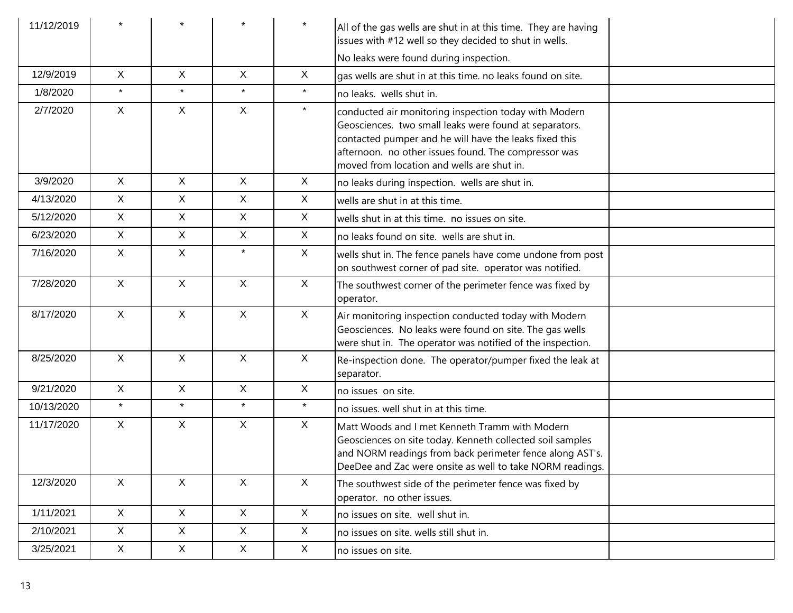| 11/12/2019 |              |              |              | $\star$      | All of the gas wells are shut in at this time. They are having<br>issues with #12 well so they decided to shut in wells.                                                                                                                                                        |
|------------|--------------|--------------|--------------|--------------|---------------------------------------------------------------------------------------------------------------------------------------------------------------------------------------------------------------------------------------------------------------------------------|
|            |              |              |              |              | No leaks were found during inspection.                                                                                                                                                                                                                                          |
| 12/9/2019  | X            | X            | $\mathsf{X}$ | $\mathsf{X}$ | gas wells are shut in at this time. no leaks found on site.                                                                                                                                                                                                                     |
| 1/8/2020   | $\star$      | $\star$      | $\star$      | $\star$      | no leaks. wells shut in.                                                                                                                                                                                                                                                        |
| 2/7/2020   | X            | X            | $\mathsf X$  | $\star$      | conducted air monitoring inspection today with Modern<br>Geosciences. two small leaks were found at separators.<br>contacted pumper and he will have the leaks fixed this<br>afternoon. no other issues found. The compressor was<br>moved from location and wells are shut in. |
| 3/9/2020   | $\mathsf{X}$ | X            | $\mathsf{X}$ | $\sf X$      | no leaks during inspection. wells are shut in.                                                                                                                                                                                                                                  |
| 4/13/2020  | X            | X            | $\mathsf{X}$ | $\sf X$      | wells are shut in at this time.                                                                                                                                                                                                                                                 |
| 5/12/2020  | X            | X            | $\mathsf{X}$ | $\sf X$      | wells shut in at this time. no issues on site.                                                                                                                                                                                                                                  |
| 6/23/2020  | X            | X            | $\mathsf{X}$ | $\sf X$      | no leaks found on site. wells are shut in.                                                                                                                                                                                                                                      |
| 7/16/2020  | X            | $\mathsf{X}$ | $\star$      | $\sf X$      | wells shut in. The fence panels have come undone from post<br>on southwest corner of pad site. operator was notified.                                                                                                                                                           |
| 7/28/2020  | X            | $\mathsf{X}$ | $\mathsf{X}$ | X            | The southwest corner of the perimeter fence was fixed by<br>operator.                                                                                                                                                                                                           |
| 8/17/2020  | X            | X            | $\mathsf{X}$ | X            | Air monitoring inspection conducted today with Modern<br>Geosciences. No leaks were found on site. The gas wells<br>were shut in. The operator was notified of the inspection.                                                                                                  |
| 8/25/2020  | X            | $\mathsf{X}$ | $\mathsf{X}$ | $\sf X$      | Re-inspection done. The operator/pumper fixed the leak at<br>separator.                                                                                                                                                                                                         |
| 9/21/2020  | $\mathsf{X}$ | $\mathsf{X}$ | $\mathsf{X}$ | $\mathsf{X}$ | no issues on site.                                                                                                                                                                                                                                                              |
| 10/13/2020 | $\star$      | $\star$      | $\star$      | $\star$      | no issues. well shut in at this time.                                                                                                                                                                                                                                           |
| 11/17/2020 | $\mathsf{X}$ | $\mathsf{X}$ | $\mathsf X$  | $\mathsf{X}$ | Matt Woods and I met Kenneth Tramm with Modern<br>Geosciences on site today. Kenneth collected soil samples<br>and NORM readings from back perimeter fence along AST's.<br>DeeDee and Zac were onsite as well to take NORM readings.                                            |
| 12/3/2020  | X            | X            | X            | $\mathsf{X}$ | The southwest side of the perimeter fence was fixed by<br>operator. no other issues.                                                                                                                                                                                            |
| 1/11/2021  | X            | X            | X            | $\mathsf{X}$ | no issues on site. well shut in.                                                                                                                                                                                                                                                |
| 2/10/2021  | X            | X            | X            | $\mathsf{X}$ | no issues on site. wells still shut in.                                                                                                                                                                                                                                         |
| 3/25/2021  | X            | X            | X            | $\mathsf{X}$ | no issues on site.                                                                                                                                                                                                                                                              |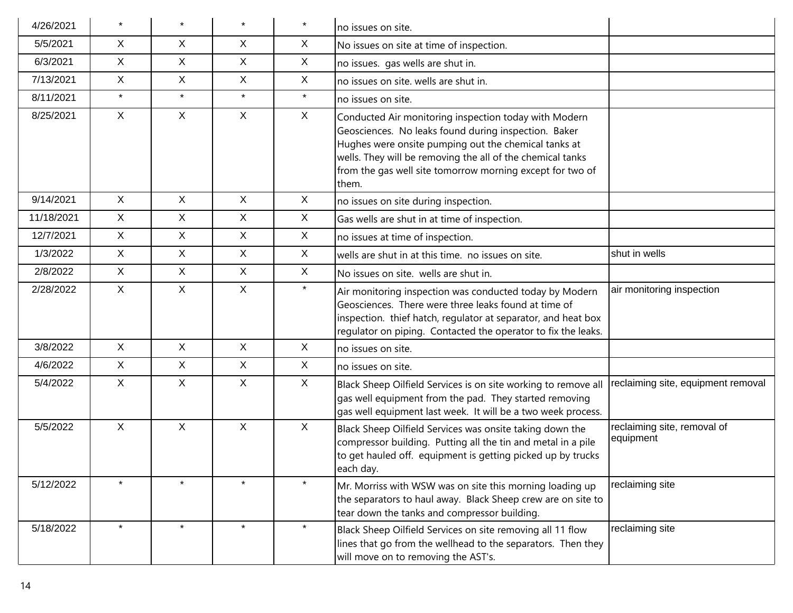| 4/26/2021  |              |              | $\star$      | $\star$      | no issues on site.                                                                                                                                                                                                                                                                                        |                                          |
|------------|--------------|--------------|--------------|--------------|-----------------------------------------------------------------------------------------------------------------------------------------------------------------------------------------------------------------------------------------------------------------------------------------------------------|------------------------------------------|
| 5/5/2021   | X.           | X.           | X            | X            | No issues on site at time of inspection.                                                                                                                                                                                                                                                                  |                                          |
| 6/3/2021   | X            | X            | X            | X            | no issues. gas wells are shut in.                                                                                                                                                                                                                                                                         |                                          |
| 7/13/2021  | X.           | X            | $\mathsf{X}$ | X            | no issues on site. wells are shut in.                                                                                                                                                                                                                                                                     |                                          |
| 8/11/2021  | $\star$      | $\star$      | $\star$      | $\star$      | no issues on site.                                                                                                                                                                                                                                                                                        |                                          |
| 8/25/2021  | $\mathsf{X}$ | X            | $\mathsf{X}$ | $\sf X$      | Conducted Air monitoring inspection today with Modern<br>Geosciences. No leaks found during inspection. Baker<br>Hughes were onsite pumping out the chemical tanks at<br>wells. They will be removing the all of the chemical tanks<br>from the gas well site tomorrow morning except for two of<br>them. |                                          |
| 9/14/2021  | $\mathsf{X}$ | X            | $\mathsf{X}$ | $\sf X$      | no issues on site during inspection.                                                                                                                                                                                                                                                                      |                                          |
| 11/18/2021 | X            | X            | $\mathsf{X}$ | $\sf X$      | Gas wells are shut in at time of inspection.                                                                                                                                                                                                                                                              |                                          |
| 12/7/2021  | X.           | X            | $\mathsf{X}$ | X            | no issues at time of inspection.                                                                                                                                                                                                                                                                          |                                          |
| 1/3/2022   | X            | X            | $\mathsf{X}$ | X            | wells are shut in at this time. no issues on site.                                                                                                                                                                                                                                                        | shut in wells                            |
| 2/8/2022   | X.           | X            | $\mathsf{X}$ | $\sf X$      | No issues on site. wells are shut in.                                                                                                                                                                                                                                                                     |                                          |
| 2/28/2022  | X            | X            | $\mathsf{X}$ | $\star$      | Air monitoring inspection was conducted today by Modern<br>Geosciences. There were three leaks found at time of<br>inspection. thief hatch, regulator at separator, and heat box<br>regulator on piping. Contacted the operator to fix the leaks.                                                         | air monitoring inspection                |
| 3/8/2022   | X            | $\mathsf{X}$ | $\mathsf{X}$ | $\mathsf{X}$ | no issues on site.                                                                                                                                                                                                                                                                                        |                                          |
| 4/6/2022   | $\mathsf{X}$ | $\mathsf{X}$ | $\mathsf{X}$ | X            | no issues on site.                                                                                                                                                                                                                                                                                        |                                          |
| 5/4/2022   | X            | X            | $\mathsf{X}$ | X            | Black Sheep Oilfield Services is on site working to remove all<br>gas well equipment from the pad. They started removing<br>gas well equipment last week. It will be a two week process.                                                                                                                  | reclaiming site, equipment removal       |
| 5/5/2022   | $\mathsf{X}$ | $\mathsf{X}$ | $\mathsf{X}$ | $\mathsf X$  | Black Sheep Oilfield Services was onsite taking down the<br>compressor building. Putting all the tin and metal in a pile<br>to get hauled off. equipment is getting picked up by trucks<br>each day.                                                                                                      | reclaiming site, removal of<br>equipment |
| 5/12/2022  | $\star$      | $\star$      | $\star$      | $\star$      | Mr. Morriss with WSW was on site this morning loading up<br>the separators to haul away. Black Sheep crew are on site to<br>tear down the tanks and compressor building.                                                                                                                                  | reclaiming site                          |
| 5/18/2022  | $\star$      | $\star$      | $\star$      | $\star$      | Black Sheep Oilfield Services on site removing all 11 flow<br>lines that go from the wellhead to the separators. Then they<br>will move on to removing the AST's.                                                                                                                                         | reclaiming site                          |